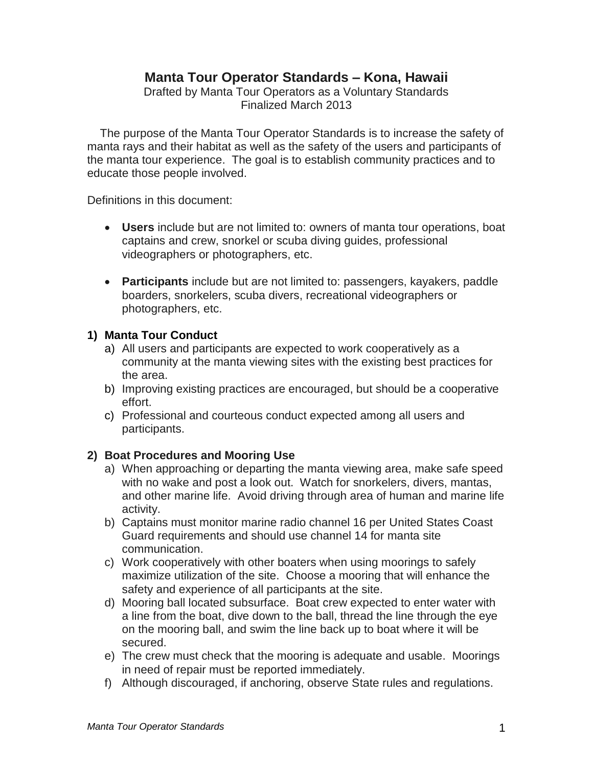## **Manta Tour Operator Standards – Kona, Hawaii**

Drafted by Manta Tour Operators as a Voluntary Standards Finalized March 2013

 The purpose of the Manta Tour Operator Standards is to increase the safety of manta rays and their habitat as well as the safety of the users and participants of the manta tour experience. The goal is to establish community practices and to educate those people involved.

Definitions in this document:

- **Users** include but are not limited to: owners of manta tour operations, boat captains and crew, snorkel or scuba diving guides, professional videographers or photographers, etc.
- **Participants** include but are not limited to: passengers, kayakers, paddle boarders, snorkelers, scuba divers, recreational videographers or photographers, etc.

### **1) Manta Tour Conduct**

- a) All users and participants are expected to work cooperatively as a community at the manta viewing sites with the existing best practices for the area.
- b) Improving existing practices are encouraged, but should be a cooperative effort.
- c) Professional and courteous conduct expected among all users and participants.

### **2) Boat Procedures and Mooring Use**

- a) When approaching or departing the manta viewing area, make safe speed with no wake and post a look out. Watch for snorkelers, divers, mantas, and other marine life. Avoid driving through area of human and marine life activity.
- b) Captains must monitor marine radio channel 16 per United States Coast Guard requirements and should use channel 14 for manta site communication.
- c) Work cooperatively with other boaters when using moorings to safely maximize utilization of the site. Choose a mooring that will enhance the safety and experience of all participants at the site.
- d) Mooring ball located subsurface. Boat crew expected to enter water with a line from the boat, dive down to the ball, thread the line through the eye on the mooring ball, and swim the line back up to boat where it will be secured.
- e) The crew must check that the mooring is adequate and usable. Moorings in need of repair must be reported immediately.
- f) Although discouraged, if anchoring, observe State rules and regulations.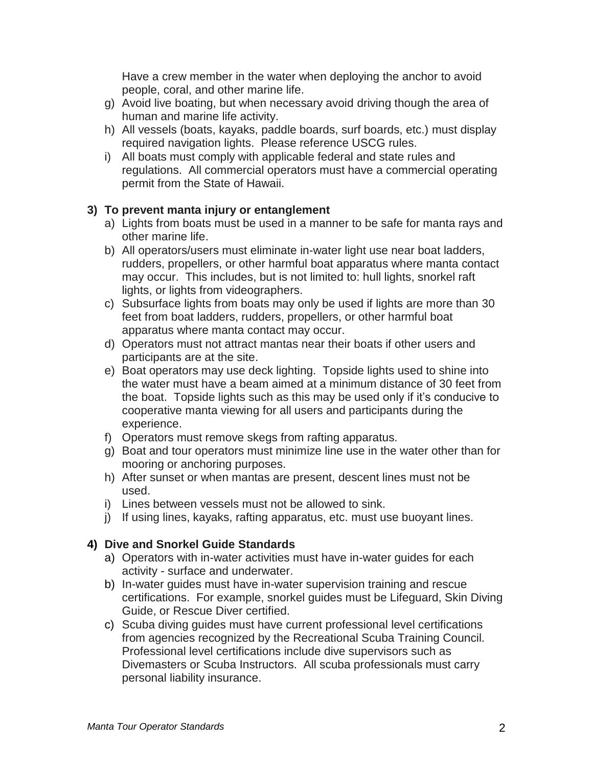Have a crew member in the water when deploying the anchor to avoid people, coral, and other marine life.

- g) Avoid live boating, but when necessary avoid driving though the area of human and marine life activity.
- h) All vessels (boats, kayaks, paddle boards, surf boards, etc.) must display required navigation lights. Please reference USCG rules.
- i) All boats must comply with applicable federal and state rules and regulations. All commercial operators must have a commercial operating permit from the State of Hawaii.

## **3) To prevent manta injury or entanglement**

- a) Lights from boats must be used in a manner to be safe for manta rays and other marine life.
- b) All operators/users must eliminate in-water light use near boat ladders, rudders, propellers, or other harmful boat apparatus where manta contact may occur. This includes, but is not limited to: hull lights, snorkel raft lights, or lights from videographers.
- c) Subsurface lights from boats may only be used if lights are more than 30 feet from boat ladders, rudders, propellers, or other harmful boat apparatus where manta contact may occur.
- d) Operators must not attract mantas near their boats if other users and participants are at the site.
- e) Boat operators may use deck lighting. Topside lights used to shine into the water must have a beam aimed at a minimum distance of 30 feet from the boat. Topside lights such as this may be used only if it's conducive to cooperative manta viewing for all users and participants during the experience.
- f) Operators must remove skegs from rafting apparatus.
- g) Boat and tour operators must minimize line use in the water other than for mooring or anchoring purposes.
- h) After sunset or when mantas are present, descent lines must not be used.
- i) Lines between vessels must not be allowed to sink.
- j) If using lines, kayaks, rafting apparatus, etc. must use buoyant lines.

## **4) Dive and Snorkel Guide Standards**

- a) Operators with in-water activities must have in-water guides for each activity - surface and underwater.
- b) In-water guides must have in-water supervision training and rescue certifications. For example, snorkel guides must be Lifeguard, Skin Diving Guide, or Rescue Diver certified.
- c) Scuba diving guides must have current professional level certifications from agencies recognized by the Recreational Scuba Training Council. Professional level certifications include dive supervisors such as Divemasters or Scuba Instructors. All scuba professionals must carry personal liability insurance.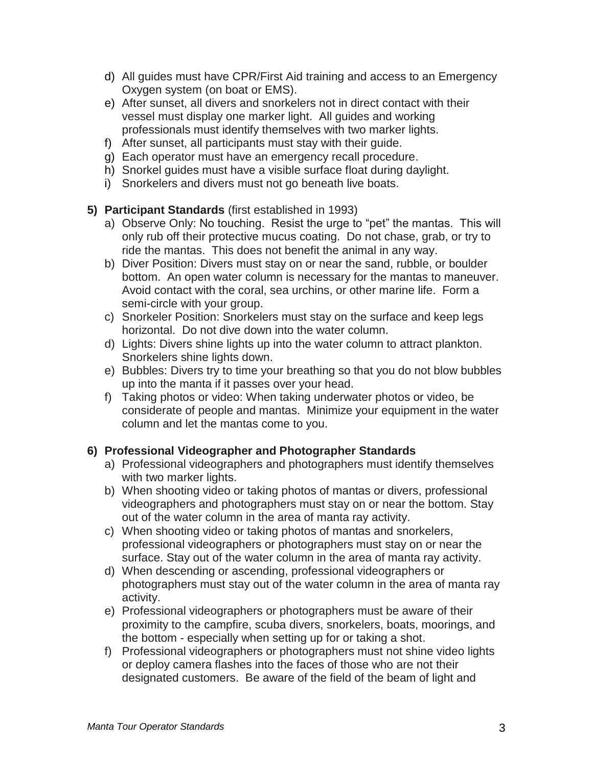- d) All guides must have CPR/First Aid training and access to an Emergency Oxygen system (on boat or EMS).
- e) After sunset, all divers and snorkelers not in direct contact with their vessel must display one marker light. All guides and working professionals must identify themselves with two marker lights.
- f) After sunset, all participants must stay with their guide.
- g) Each operator must have an emergency recall procedure.
- h) Snorkel guides must have a visible surface float during daylight.
- i) Snorkelers and divers must not go beneath live boats.

### **5) Participant Standards** (first established in 1993)

- a) Observe Only: No touching. Resist the urge to "pet" the mantas. This will only rub off their protective mucus coating. Do not chase, grab, or try to ride the mantas. This does not benefit the animal in any way.
- b) Diver Position: Divers must stay on or near the sand, rubble, or boulder bottom. An open water column is necessary for the mantas to maneuver. Avoid contact with the coral, sea urchins, or other marine life. Form a semi-circle with your group.
- c) Snorkeler Position: Snorkelers must stay on the surface and keep legs horizontal. Do not dive down into the water column.
- d) Lights: Divers shine lights up into the water column to attract plankton. Snorkelers shine lights down.
- e) Bubbles: Divers try to time your breathing so that you do not blow bubbles up into the manta if it passes over your head.
- f) Taking photos or video: When taking underwater photos or video, be considerate of people and mantas. Minimize your equipment in the water column and let the mantas come to you.

## **6) Professional Videographer and Photographer Standards**

- a) Professional videographers and photographers must identify themselves with two marker lights.
- b) When shooting video or taking photos of mantas or divers, professional videographers and photographers must stay on or near the bottom. Stay out of the water column in the area of manta ray activity.
- c) When shooting video or taking photos of mantas and snorkelers, professional videographers or photographers must stay on or near the surface. Stay out of the water column in the area of manta ray activity.
- d) When descending or ascending, professional videographers or photographers must stay out of the water column in the area of manta ray activity.
- e) Professional videographers or photographers must be aware of their proximity to the campfire, scuba divers, snorkelers, boats, moorings, and the bottom - especially when setting up for or taking a shot.
- f) Professional videographers or photographers must not shine video lights or deploy camera flashes into the faces of those who are not their designated customers. Be aware of the field of the beam of light and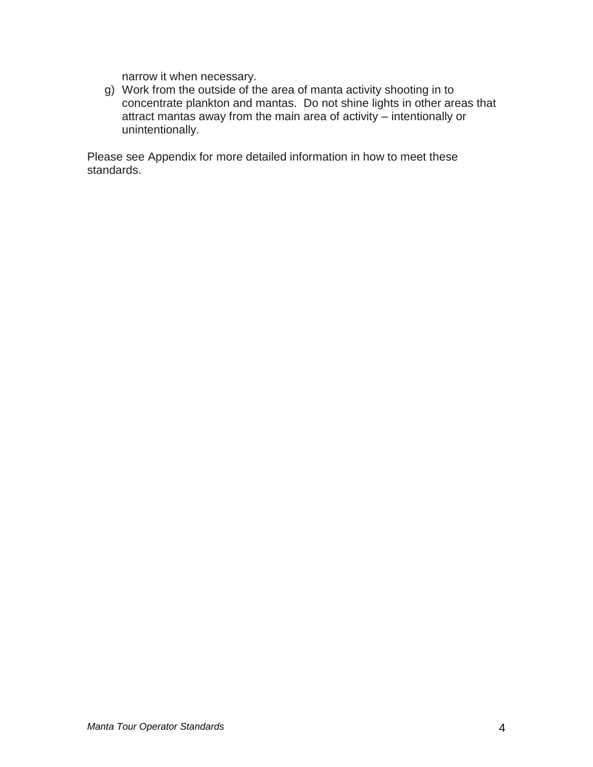narrow it when necessary.

g) Work from the outside of the area of manta activity shooting in to concentrate plankton and mantas. Do not shine lights in other areas that attract mantas away from the main area of activity – intentionally or unintentionally.

Please see Appendix for more detailed information in how to meet these standards.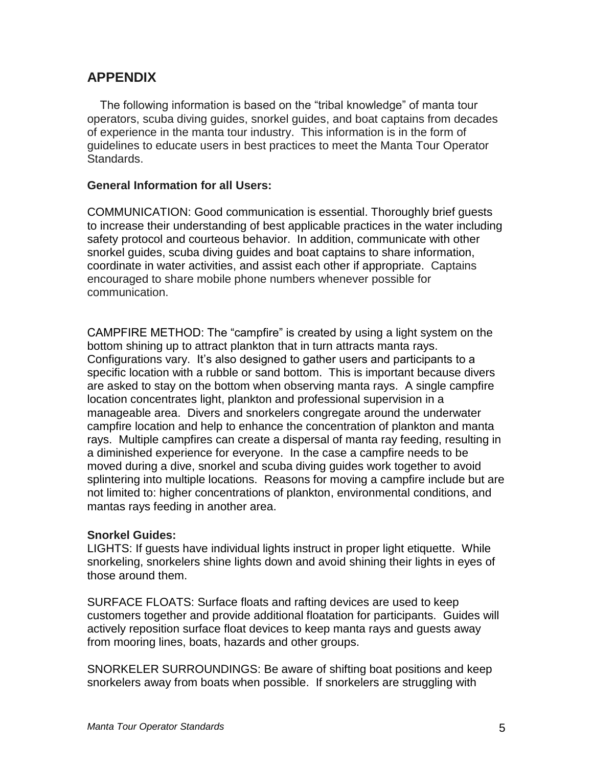# **APPENDIX**

 The following information is based on the "tribal knowledge" of manta tour operators, scuba diving guides, snorkel guides, and boat captains from decades of experience in the manta tour industry. This information is in the form of guidelines to educate users in best practices to meet the Manta Tour Operator Standards.

### **General Information for all Users:**

COMMUNICATION: Good communication is essential. Thoroughly brief guests to increase their understanding of best applicable practices in the water including safety protocol and courteous behavior. In addition, communicate with other snorkel guides, scuba diving guides and boat captains to share information, coordinate in water activities, and assist each other if appropriate. Captains encouraged to share mobile phone numbers whenever possible for communication.

CAMPFIRE METHOD: The "campfire" is created by using a light system on the bottom shining up to attract plankton that in turn attracts manta rays. Configurations vary. It's also designed to gather users and participants to a specific location with a rubble or sand bottom. This is important because divers are asked to stay on the bottom when observing manta rays. A single campfire location concentrates light, plankton and professional supervision in a manageable area. Divers and snorkelers congregate around the underwater campfire location and help to enhance the concentration of plankton and manta rays. Multiple campfires can create a dispersal of manta ray feeding, resulting in a diminished experience for everyone. In the case a campfire needs to be moved during a dive, snorkel and scuba diving guides work together to avoid splintering into multiple locations. Reasons for moving a campfire include but are not limited to: higher concentrations of plankton, environmental conditions, and mantas rays feeding in another area.

### **Snorkel Guides:**

LIGHTS: If guests have individual lights instruct in proper light etiquette. While snorkeling, snorkelers shine lights down and avoid shining their lights in eyes of those around them.

SURFACE FLOATS: Surface floats and rafting devices are used to keep customers together and provide additional floatation for participants. Guides will actively reposition surface float devices to keep manta rays and guests away from mooring lines, boats, hazards and other groups.

SNORKELER SURROUNDINGS: Be aware of shifting boat positions and keep snorkelers away from boats when possible. If snorkelers are struggling with